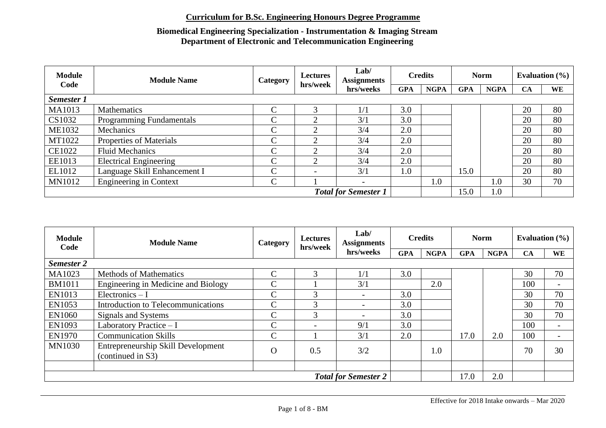| <b>Module</b><br>Code | <b>Module Name</b>              | <b>Category</b> | <b>Lectures</b><br>hrs/week | Lab/<br><b>Assignments</b> |            | <b>Credits</b> |            | <b>Norm</b> | Evaluation $(\% )$ |    |
|-----------------------|---------------------------------|-----------------|-----------------------------|----------------------------|------------|----------------|------------|-------------|--------------------|----|
|                       |                                 |                 |                             | hrs/weeks                  | <b>GPA</b> | <b>NGPA</b>    | <b>GPA</b> | <b>NGPA</b> | <b>CA</b>          | WE |
| Semester 1            |                                 |                 |                             |                            |            |                |            |             |                    |    |
| MA1013                | <b>Mathematics</b>              | C               | 3                           | 1/1                        | 3.0        |                |            |             | 20                 | 80 |
| CS1032                | <b>Programming Fundamentals</b> | $\overline{C}$  | 2                           | 3/1                        | 3.0        |                |            |             | 20                 | 80 |
| <b>ME1032</b>         | Mechanics                       | $\overline{C}$  | 2                           | 3/4                        | 2.0        |                |            |             | 20                 | 80 |
| MT1022                | Properties of Materials         | $\overline{C}$  | ↑                           | 3/4                        | 2.0        |                |            |             | 20                 | 80 |
| <b>CE1022</b>         | <b>Fluid Mechanics</b>          | $\overline{C}$  | $\mathcal{D}_{\mathcal{L}}$ | 3/4                        | 2.0        |                |            |             | 20                 | 80 |
| EE1013                | <b>Electrical Engineering</b>   | $\overline{C}$  | $\overline{2}$              | 3/4                        | 2.0        |                |            |             | 20                 | 80 |
| EL1012                | Language Skill Enhancement I    | $\overline{C}$  | $\overline{\phantom{0}}$    | 3/1                        | 0.1        |                | 15.0       |             | 20                 | 80 |
| <b>MN1012</b>         | <b>Engineering in Context</b>   | $\overline{C}$  |                             | $\overline{\phantom{a}}$   |            | 1.0            |            | 1.0         | 30                 | 70 |
|                       | <b>Total for Semester 1</b>     |                 |                             | 15.0                       | 1.0        |                |            |             |                    |    |

| <b>Module</b><br>Code | <b>Module Name</b>                                      | Category       | <b>Lectures</b><br>hrs/week  | Lab/<br><b>Assignments</b> | <b>Credits</b> |             | <b>Norm</b> |             | Evaluation $(\% )$ |                          |
|-----------------------|---------------------------------------------------------|----------------|------------------------------|----------------------------|----------------|-------------|-------------|-------------|--------------------|--------------------------|
|                       |                                                         |                |                              | hrs/weeks                  | <b>GPA</b>     | <b>NGPA</b> | <b>GPA</b>  | <b>NGPA</b> | <b>CA</b>          | <b>WE</b>                |
| <b>Semester 2</b>     |                                                         |                |                              |                            |                |             |             |             |                    |                          |
| MA1023                | <b>Methods of Mathematics</b>                           | $\mathcal{C}$  | 3                            | 1/1                        | 3.0            |             |             |             | 30                 | 70                       |
| <b>BM1011</b>         | Engineering in Medicine and Biology                     | $\mathcal{C}$  |                              | 3/1                        |                | 2.0         |             |             | 100                | $\overline{\phantom{a}}$ |
| EN1013                | $Electronic - I$                                        | $\mathcal{C}$  | 3                            |                            | 3.0            |             |             |             | 30                 | 70                       |
| EN1053                | Introduction to Telecommunications                      | $\mathcal{C}$  | 3                            |                            | 3.0            |             |             |             | 30                 | 70                       |
| <b>EN1060</b>         | Signals and Systems                                     | $\overline{C}$ | 3                            |                            | 3.0            |             |             |             | 30                 | 70                       |
| EN1093                | Laboratory Practice - I                                 | $\mathcal{C}$  | $\qquad \qquad \blacksquare$ | 9/1                        | 3.0            |             |             |             | 100                | $\overline{\phantom{a}}$ |
| <b>EN1970</b>         | <b>Communication Skills</b>                             | $\overline{C}$ |                              | 3/1                        | 2.0            |             | 17.0        | 2.0         | 100                | $\overline{\phantom{0}}$ |
| <b>MN1030</b>         | Entrepreneurship Skill Development<br>(continued in S3) | $\Omega$       | 0.5                          | 3/2                        |                | 1.0         |             |             | 70                 | 30                       |
|                       |                                                         |                |                              |                            |                |             |             |             |                    |                          |
|                       | <b>Total for Semester 2</b>                             |                |                              |                            |                |             | 17.0        | 2.0         |                    |                          |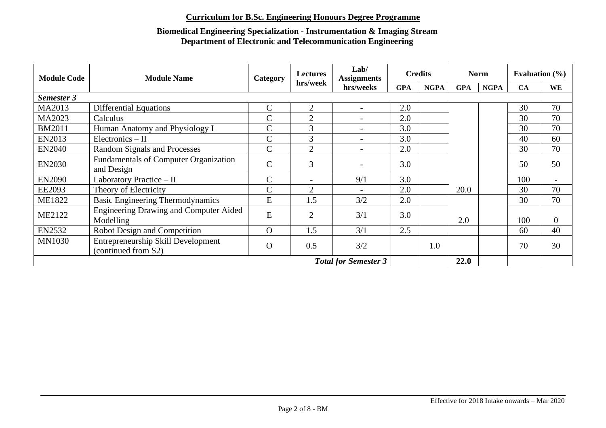| <b>Module Code</b> | <b>Module Name</b>                                         | Category                    | <b>Lectures</b>          | Lab/<br><b>Assignments</b> |            | <b>Credits</b> |            | <b>Norm</b> |           | Evaluation $(\% )$       |
|--------------------|------------------------------------------------------------|-----------------------------|--------------------------|----------------------------|------------|----------------|------------|-------------|-----------|--------------------------|
|                    |                                                            |                             | hrs/week                 | hrs/weeks                  | <b>GPA</b> | <b>NGPA</b>    | <b>GPA</b> | <b>NGPA</b> | <b>CA</b> | WE                       |
| Semester 3         |                                                            |                             |                          |                            |            |                |            |             |           |                          |
| MA2013             | <b>Differential Equations</b>                              | $\mathsf{C}$                | $\overline{2}$           | $\overline{\phantom{a}}$   | 2.0        |                |            |             | 30        | 70                       |
| MA2023             | Calculus                                                   | $\mathsf{C}$                | $\overline{2}$           |                            | 2.0        |                |            |             | 30        | 70                       |
| <b>BM2011</b>      | Human Anatomy and Physiology I                             | $\mathsf{C}$                | 3                        |                            | 3.0        |                |            |             | 30        | 70                       |
| EN2013             | $Electronic - II$                                          | $\mathsf{C}$                | 3                        |                            | 3.0        |                |            |             | 40        | 60                       |
| <b>EN2040</b>      | Random Signals and Processes                               | $\mathsf{C}$                | $\overline{2}$           |                            | 2.0        |                |            |             | 30        | 70                       |
| <b>EN2030</b>      | <b>Fundamentals of Computer Organization</b><br>and Design | $\mathsf{C}$                | 3                        |                            | 3.0        |                |            |             | 50        | 50                       |
| <b>EN2090</b>      | Laboratory Practice - II                                   | $\mathsf{C}$                | $\overline{\phantom{a}}$ | 9/1                        | 3.0        |                |            |             | 100       | $\overline{\phantom{0}}$ |
| EE2093             | Theory of Electricity                                      | $\mathsf{C}$                | $\overline{2}$           |                            | 2.0        |                | 20.0       |             | 30        | 70                       |
| <b>ME1822</b>      | <b>Basic Engineering Thermodynamics</b>                    | E                           | 1.5                      | 3/2                        | 2.0        |                |            |             | 30        | 70                       |
| <b>ME2122</b>      | <b>Engineering Drawing and Computer Aided</b><br>Modelling | E                           | $\overline{2}$           | 3/1                        | 3.0        |                | 2.0        |             | 100       | $\overline{0}$           |
| <b>EN2532</b>      | Robot Design and Competition                               | $\Omega$                    | 1.5                      | 3/1                        | 2.5        |                |            |             | 60        | 40                       |
| <b>MN1030</b>      | Entrepreneurship Skill Development<br>(continued from S2)  | $\Omega$                    | 0.5                      | 3/2                        |            | 1.0            |            |             | 70        | 30                       |
|                    |                                                            | <b>Total for Semester 3</b> |                          |                            | 22.0       |                |            |             |           |                          |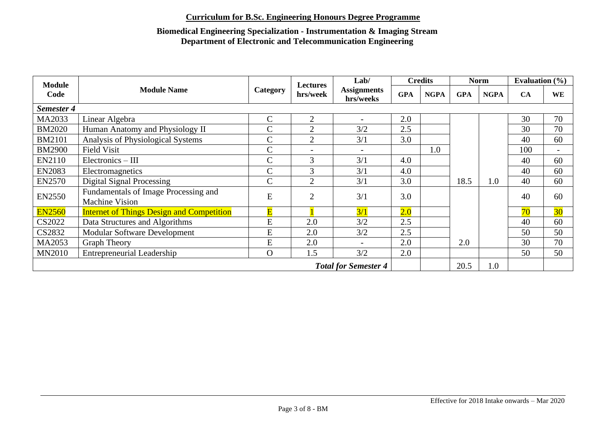| <b>Module</b> |                                                               |                         | <b>Lectures</b>          | Lab/                            |            | <b>Credits</b> |            | <b>Norm</b> | Evaluation $(\% )$ |                          |
|---------------|---------------------------------------------------------------|-------------------------|--------------------------|---------------------------------|------------|----------------|------------|-------------|--------------------|--------------------------|
| Code          | <b>Module Name</b>                                            | Category                | hrs/week                 | <b>Assignments</b><br>hrs/weeks | <b>GPA</b> | <b>NGPA</b>    | <b>GPA</b> | <b>NGPA</b> | CA                 | <b>WE</b>                |
| Semester 4    |                                                               |                         |                          |                                 |            |                |            |             |                    |                          |
| MA2033        | Linear Algebra                                                | $\overline{C}$          | $\overline{2}$           |                                 | 2.0        |                |            |             | 30                 | 70                       |
| <b>BM2020</b> | Human Anatomy and Physiology II                               | $\mathsf{C}$            | $\overline{2}$           | 3/2                             | 2.5        |                |            |             | 30                 | 70                       |
| <b>BM2101</b> | Analysis of Physiological Systems                             | $\overline{C}$          | $\overline{2}$           | 3/1                             | 3.0        |                |            |             | 40                 | 60                       |
| <b>BM2900</b> | <b>Field Visit</b>                                            | $\mathcal{C}$           | $\overline{\phantom{0}}$ |                                 |            | 1.0            |            |             | 100                | $\overline{\phantom{a}}$ |
| EN2110        | $Electronic - III$                                            | $\mathbf C$             | 3                        | 3/1                             | 4.0        |                |            |             | 40                 | 60                       |
| <b>EN2083</b> | Electromagnetics                                              | $\mathbf C$             | 3                        | 3/1                             | 4.0        |                |            |             | 40                 | 60                       |
| <b>EN2570</b> | <b>Digital Signal Processing</b>                              | $\mathbf C$             | $\overline{2}$           | 3/1                             | 3.0        |                | 18.5       | 1.0         | 40                 | 60                       |
| <b>EN2550</b> | Fundamentals of Image Processing and<br><b>Machine Vision</b> | E                       | $\overline{2}$           | 3/1                             | 3.0        |                |            |             | 40                 | 60                       |
| <b>EN2560</b> | <b>Internet of Things Design and Competition</b>              | $\overline{\mathbf{E}}$ |                          | 3/1                             | 2.0        |                |            |             | 70                 | 30 <sup>°</sup>          |
| CS2022        | Data Structures and Algorithms                                | ${\bf E}$               | 2.0                      | 3/2                             | 2.5        |                |            |             | 40                 | 60                       |
| CS2832        | <b>Modular Software Development</b>                           | ${\bf E}$               | 2.0                      | 3/2                             | 2.5        |                |            |             | 50                 | 50                       |
| MA2053        | <b>Graph Theory</b>                                           | E                       | 2.0                      |                                 | 2.0        |                | 2.0        |             | 30                 | 70                       |
| <b>MN2010</b> | <b>Entrepreneurial Leadership</b>                             | $\Omega$                | 1.5                      | 3/2                             | 2.0        |                |            |             | 50                 | 50                       |
|               | <b>Total for Semester 4</b>                                   |                         |                          |                                 |            |                |            | 1.0         |                    |                          |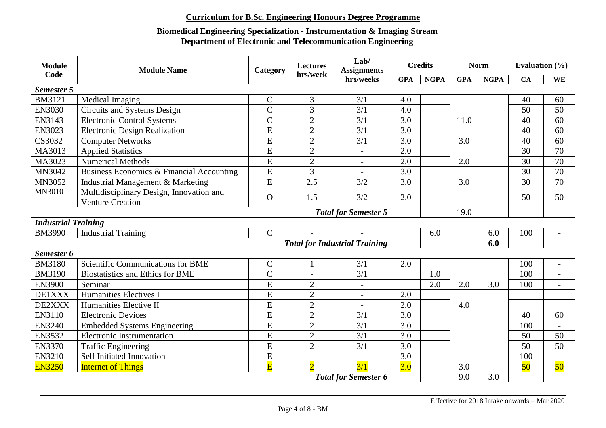| <b>Module</b><br>Code      | <b>Module Name</b>                        | Category                | <b>Lectures</b><br>hrs/week | Lab/<br><b>Assignments</b>           |                  | <b>Credits</b> |            | <b>Norm</b>    | Evaluation $(\% )$ |                          |
|----------------------------|-------------------------------------------|-------------------------|-----------------------------|--------------------------------------|------------------|----------------|------------|----------------|--------------------|--------------------------|
|                            |                                           |                         |                             | hrs/weeks                            | <b>GPA</b>       | <b>NGPA</b>    | <b>GPA</b> | <b>NGPA</b>    | CA                 | WE                       |
| Semester 5                 |                                           |                         |                             |                                      |                  |                |            |                |                    |                          |
| <b>BM3121</b>              | Medical Imaging                           | $\mathsf{C}$            | $\mathfrak{Z}$              | 3/1                                  | 4.0              |                |            |                | 40                 | 60                       |
| <b>EN3030</b>              | <b>Circuits and Systems Design</b>        | $\overline{C}$          | 3                           | 3/1                                  | 4.0              |                |            |                | 50                 | 50                       |
| EN3143                     | <b>Electronic Control Systems</b>         | $\overline{C}$          | $\overline{2}$              | 3/1                                  | 3.0              |                | 11.0       |                | 40                 | 60                       |
| EN3023                     | <b>Electronic Design Realization</b>      | $\overline{E}$          | $\overline{2}$              | 3/1                                  | 3.0              |                |            |                | 40                 | 60                       |
| CS3032                     | <b>Computer Networks</b>                  | $\overline{E}$          | $\overline{2}$              | 3/1                                  | 3.0              |                | 3.0        |                | 40                 | 60                       |
| MA3013                     | <b>Applied Statistics</b>                 | $\overline{E}$          | $\overline{2}$              | $\overline{\phantom{a}}$             | 2.0              |                |            |                | 30                 | 70                       |
| MA3023                     | <b>Numerical Methods</b>                  | $\overline{E}$          | $\overline{2}$              | $\overline{\phantom{a}}$             | 2.0              |                | 2.0        |                | 30                 | 70                       |
| MN3042                     | Business Economics & Financial Accounting | E                       | $\overline{3}$              | $\sim$                               | 3.0              |                |            |                | 30                 | 70                       |
| MN3052                     | Industrial Management & Marketing         | $\overline{E}$          | 2.5                         | 3/2                                  | 3.0              |                | 3.0        |                | 30                 | 70                       |
| <b>MN3010</b>              | Multidisciplinary Design, Innovation and  |                         |                             |                                      |                  |                |            |                |                    |                          |
|                            | <b>Venture Creation</b>                   | $\Omega$                | 1.5                         | 3/2                                  | 2.0              |                |            |                | 50                 | 50                       |
|                            |                                           |                         |                             | <b>Total for Semester 5</b>          |                  |                | 19.0       | $\overline{a}$ |                    |                          |
| <b>Industrial Training</b> |                                           |                         |                             |                                      |                  |                |            |                |                    |                          |
| <b>BM3990</b>              | <b>Industrial Training</b>                | $\mathbf C$             |                             | $\overline{a}$                       |                  | 6.0            |            | 6.0            | 100                | $\overline{a}$           |
|                            |                                           |                         |                             | <b>Total for Industrial Training</b> |                  |                |            | 6.0            |                    |                          |
| Semester 6                 |                                           |                         |                             |                                      |                  |                |            |                |                    |                          |
| <b>BM3180</b>              | Scientific Communications for BME         | $\mathbf C$             | $\mathbf{1}$                | 3/1                                  | 2.0              |                |            |                | 100                | $\overline{a}$           |
| <b>BM3190</b>              | <b>Biostatistics and Ethics for BME</b>   | $\overline{C}$          | $\overline{a}$              | 3/1                                  |                  | 1.0            |            |                | 100                | $\overline{a}$           |
| <b>EN3900</b>              | Seminar                                   | $\overline{E}$          | $\overline{2}$              | $\overline{\phantom{a}}$             |                  | 2.0            | 2.0        | 3.0            | 100                | $\overline{\phantom{a}}$ |
| DE1XXX                     | <b>Humanities Electives I</b>             | E                       | $\overline{2}$              |                                      | 2.0              |                |            |                |                    |                          |
| DE2XXX                     | Humanities Elective II                    | $\overline{E}$          | $\overline{2}$              |                                      | 2.0              |                | 4.0        |                |                    |                          |
| EN3110                     | <b>Electronic Devices</b>                 | $\overline{E}$          | $\overline{2}$              | 3/1                                  | 3.0              |                |            |                | 40                 | 60                       |
| <b>EN3240</b>              | <b>Embedded Systems Engineering</b>       | $\overline{E}$          | $\overline{2}$              | 3/1                                  | 3.0              |                |            |                | 100                |                          |
| <b>EN3532</b>              | <b>Electronic Instrumentation</b>         | $\overline{E}$          | $\overline{2}$              | 3/1                                  | 3.0              |                |            |                | 50                 | 50                       |
| <b>EN3370</b>              | <b>Traffic Engineering</b>                | E                       | $\overline{2}$              | 3/1                                  | 3.0              |                |            |                | 50                 | 50                       |
| <b>EN3210</b>              | Self Initiated Innovation                 | $\overline{E}$          | $\overline{\phantom{0}}$    |                                      | $\overline{3.0}$ |                |            |                | 100                |                          |
| <b>EN3250</b>              | <b>Internet of Things</b>                 | $\overline{\mathbf{E}}$ | $\overline{2}$              | 3/1                                  | 3.0              |                | 3.0        |                | 50                 | 50                       |
|                            |                                           |                         |                             | <b>Total for Semester 6</b>          |                  |                | 9.0        | 3.0            |                    |                          |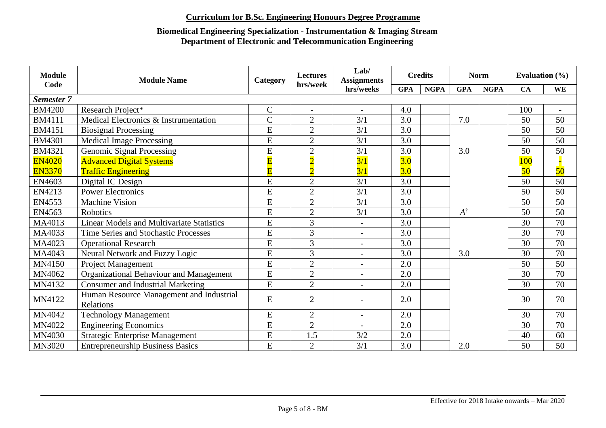| <b>Module</b><br>Code | <b>Module Name</b>                                    | Category                | <b>Lectures</b><br>hrs/week | Lab/<br><b>Assignments</b> |            | <b>Credits</b> |             | <b>Norm</b> | Evaluation $(\% )$ |                          |
|-----------------------|-------------------------------------------------------|-------------------------|-----------------------------|----------------------------|------------|----------------|-------------|-------------|--------------------|--------------------------|
|                       |                                                       |                         |                             | hrs/weeks                  | <b>GPA</b> | <b>NGPA</b>    | <b>GPA</b>  | <b>NGPA</b> | <b>CA</b>          | WE                       |
| <b>Semester 7</b>     |                                                       |                         |                             |                            |            |                |             |             |                    |                          |
| <b>BM4200</b>         | Research Project*                                     | $\mathbf C$             | $\blacksquare$              |                            | 4.0        |                |             |             | 100                | $\overline{\phantom{a}}$ |
| <b>BM4111</b>         | Medical Electronics & Instrumentation                 | $\overline{C}$          | $\overline{2}$              | 3/1                        | 3.0        |                | 7.0         |             | 50                 | 50                       |
| BM4151                | <b>Biosignal Processing</b>                           | E                       | $\overline{2}$              | 3/1                        | 3.0        |                |             |             | 50                 | 50                       |
| <b>BM4301</b>         | <b>Medical Image Processing</b>                       | E                       | $\overline{2}$              | 3/1                        | 3.0        |                |             |             | 50                 | 50                       |
| <b>BM4321</b>         | <b>Genomic Signal Processing</b>                      | $\overline{E}$          | $\mathbf{2}$                | 3/1                        | 3.0        |                | 3.0         |             | 50                 | 50                       |
| <b>EN4020</b>         | <b>Advanced Digital Systems</b>                       | $\overline{\mathbf{E}}$ | $\overline{2}$              | 3/1                        | 3.0        |                |             |             | 100                |                          |
| <b>EN3370</b>         | <b>Traffic Engineering</b>                            | $\overline{\mathbf{E}}$ | $\overline{2}$              | 3/1                        | 3.0        |                |             |             | 50                 | 50                       |
| EN4603                | Digital IC Design                                     | E                       | $\overline{2}$              | 3/1                        | 3.0        |                |             |             | 50                 | 50                       |
| EN4213                | <b>Power Electronics</b>                              | $\overline{E}$          | $\overline{2}$              | 3/1                        | 3.0        |                |             |             | 50                 | 50                       |
| EN4553                | <b>Machine Vision</b>                                 | E                       | $\overline{2}$              | 3/1                        | 3.0        |                |             |             | 50                 | 50                       |
| EN4563                | <b>Robotics</b>                                       | E                       | $\overline{2}$              | 3/1                        | 3.0        |                | $A^\dagger$ |             | 50                 | 50                       |
| MA4013                | <b>Linear Models and Multivariate Statistics</b>      | E                       | 3                           | $\blacksquare$             | 3.0        |                |             |             | 30                 | 70                       |
| MA4033                | <b>Time Series and Stochastic Processes</b>           | $\overline{E}$          | 3                           |                            | 3.0        |                |             |             | 30                 | 70                       |
| MA4023                | <b>Operational Research</b>                           | E                       | 3                           |                            | 3.0        |                |             |             | 30                 | 70                       |
| MA4043                | <b>Neural Network and Fuzzy Logic</b>                 | E                       | $\overline{3}$              | $\overline{\phantom{a}}$   | 3.0        |                | 3.0         |             | 30                 | 70                       |
| MN4150                | Project Management                                    | $\overline{E}$          | $\overline{2}$              |                            | 2.0        |                |             |             | 50                 | 50                       |
| MN4062                | Organizational Behaviour and Management               | E                       | $\overline{2}$              |                            | 2.0        |                |             |             | 30                 | 70                       |
| MN4132                | <b>Consumer and Industrial Marketing</b>              | E                       | $\overline{2}$              | $\blacksquare$             | 2.0        |                |             |             | 30                 | 70                       |
| MN4122                | Human Resource Management and Industrial<br>Relations | E                       | $\overline{2}$              |                            | 2.0        |                |             |             | 30                 | 70                       |
| MN4042                | <b>Technology Management</b>                          | E                       | $\overline{2}$              | $\overline{\phantom{a}}$   | 2.0        |                |             |             | 30                 | 70                       |
| MN4022                | <b>Engineering Economics</b>                          | E                       | $\overline{2}$              |                            | 2.0        |                |             |             | 30                 | 70                       |
| MN4030                | <b>Strategic Enterprise Management</b>                | E                       | 1.5                         | 3/2                        | 2.0        |                |             |             | 40                 | 60                       |
| MN3020                | <b>Entrepreneurship Business Basics</b>               | $\overline{E}$          | $\overline{2}$              | 3/1                        | 3.0        |                | 2.0         |             | 50                 | 50                       |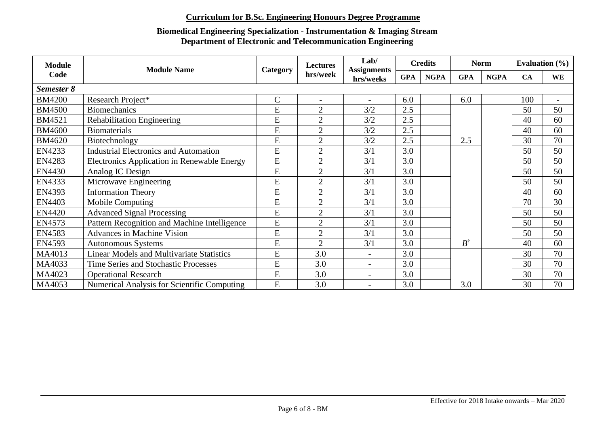| <b>Module</b> | <b>Module Name</b>                                 |              | Lab/<br><b>Credits</b><br><b>Lectures</b><br><b>Assignments</b><br>hrs/week<br><b>NGPA</b><br><b>GPA</b><br>hrs/weeks<br>6.0<br>$\blacksquare$<br>$\overline{\phantom{a}}$<br>$\overline{2}$<br>3/2<br>2.5<br>2.5<br>$\overline{2}$<br>3/2<br>2.5<br>$\overline{2}$<br>3/2<br>$\overline{2}$<br>2.5<br>3/2<br>3.0<br>$\overline{2}$<br>3/1<br>3.0<br>$\overline{2}$<br>3/1<br>$\overline{2}$<br>3.0<br>3/1<br>3.0<br>$\overline{2}$<br>3/1<br>3.0<br>$\overline{2}$<br>3/1<br>3.0<br>$\overline{2}$<br>3/1<br>$\overline{2}$<br>3.0<br>3/1<br>$\overline{2}$<br>3.0<br>3/1<br>$\overline{2}$<br>3.0<br>3/1<br>$\overline{2}$<br>3.0<br>3/1<br>3.0<br>3.0<br>$\overline{\phantom{a}}$<br>3.0<br>3.0<br>$\overline{a}$ | <b>Norm</b> |     |  | Evaluation $(\% )$ |             |     |                          |
|---------------|----------------------------------------------------|--------------|----------------------------------------------------------------------------------------------------------------------------------------------------------------------------------------------------------------------------------------------------------------------------------------------------------------------------------------------------------------------------------------------------------------------------------------------------------------------------------------------------------------------------------------------------------------------------------------------------------------------------------------------------------------------------------------------------------------------|-------------|-----|--|--------------------|-------------|-----|--------------------------|
| Code          |                                                    | Category     |                                                                                                                                                                                                                                                                                                                                                                                                                                                                                                                                                                                                                                                                                                                      |             |     |  | <b>GPA</b>         | <b>NGPA</b> | CA  | <b>WE</b>                |
| Semester 8    |                                                    |              |                                                                                                                                                                                                                                                                                                                                                                                                                                                                                                                                                                                                                                                                                                                      |             |     |  |                    |             |     |                          |
| <b>BM4200</b> | Research Project*                                  | $\mathsf{C}$ |                                                                                                                                                                                                                                                                                                                                                                                                                                                                                                                                                                                                                                                                                                                      |             |     |  | 6.0                |             | 100 | $\overline{\phantom{0}}$ |
| <b>BM4500</b> | <b>Biomechanics</b>                                | E            |                                                                                                                                                                                                                                                                                                                                                                                                                                                                                                                                                                                                                                                                                                                      |             |     |  |                    |             | 50  | 50                       |
| <b>BM4521</b> | <b>Rehabilitation Engineering</b>                  | ${\bf E}$    |                                                                                                                                                                                                                                                                                                                                                                                                                                                                                                                                                                                                                                                                                                                      |             |     |  |                    |             | 40  | 60                       |
| <b>BM4600</b> | <b>Biomaterials</b>                                | E            |                                                                                                                                                                                                                                                                                                                                                                                                                                                                                                                                                                                                                                                                                                                      |             |     |  |                    |             | 40  | 60                       |
| <b>BM4620</b> | Biotechnology                                      | E            |                                                                                                                                                                                                                                                                                                                                                                                                                                                                                                                                                                                                                                                                                                                      |             |     |  | 2.5                |             | 30  | 70                       |
| EN4233        | <b>Industrial Electronics and Automation</b>       | E            |                                                                                                                                                                                                                                                                                                                                                                                                                                                                                                                                                                                                                                                                                                                      |             |     |  |                    |             | 50  | 50                       |
| EN4283        | <b>Electronics Application in Renewable Energy</b> | E            |                                                                                                                                                                                                                                                                                                                                                                                                                                                                                                                                                                                                                                                                                                                      |             |     |  |                    |             | 50  | 50                       |
| EN4430        | Analog IC Design                                   | E            |                                                                                                                                                                                                                                                                                                                                                                                                                                                                                                                                                                                                                                                                                                                      |             |     |  |                    |             | 50  | 50                       |
| EN4333        | Microwave Engineering                              | E            |                                                                                                                                                                                                                                                                                                                                                                                                                                                                                                                                                                                                                                                                                                                      |             |     |  |                    |             | 50  | 50                       |
| <b>EN4393</b> | <b>Information Theory</b>                          | E            |                                                                                                                                                                                                                                                                                                                                                                                                                                                                                                                                                                                                                                                                                                                      |             |     |  |                    |             | 40  | 60                       |
| EN4403        | Mobile Computing                                   | E            |                                                                                                                                                                                                                                                                                                                                                                                                                                                                                                                                                                                                                                                                                                                      |             |     |  |                    |             | 70  | 30                       |
| <b>EN4420</b> | <b>Advanced Signal Processing</b>                  | E            |                                                                                                                                                                                                                                                                                                                                                                                                                                                                                                                                                                                                                                                                                                                      |             |     |  |                    |             | 50  | 50                       |
| <b>EN4573</b> | Pattern Recognition and Machine Intelligence       | ${\bf E}$    |                                                                                                                                                                                                                                                                                                                                                                                                                                                                                                                                                                                                                                                                                                                      |             |     |  |                    |             | 50  | 50                       |
| EN4583        | <b>Advances in Machine Vision</b>                  | E            |                                                                                                                                                                                                                                                                                                                                                                                                                                                                                                                                                                                                                                                                                                                      |             |     |  |                    |             | 50  | 50                       |
| EN4593        | Autonomous Systems                                 | E            |                                                                                                                                                                                                                                                                                                                                                                                                                                                                                                                                                                                                                                                                                                                      |             |     |  | $B^\dagger$        |             | 40  | 60                       |
| MA4013        | <b>Linear Models and Multivariate Statistics</b>   | E            |                                                                                                                                                                                                                                                                                                                                                                                                                                                                                                                                                                                                                                                                                                                      |             |     |  |                    |             | 30  | 70                       |
| MA4033        | Time Series and Stochastic Processes               | ${\bf E}$    |                                                                                                                                                                                                                                                                                                                                                                                                                                                                                                                                                                                                                                                                                                                      |             |     |  |                    |             | 30  | 70                       |
| MA4023        | <b>Operational Research</b>                        | E            | 3.0                                                                                                                                                                                                                                                                                                                                                                                                                                                                                                                                                                                                                                                                                                                  |             | 3.0 |  |                    |             | 30  | 70                       |
| MA4053        | <b>Numerical Analysis for Scientific Computing</b> | E            | 3.0                                                                                                                                                                                                                                                                                                                                                                                                                                                                                                                                                                                                                                                                                                                  |             | 3.0 |  | 3.0                |             | 30  | 70                       |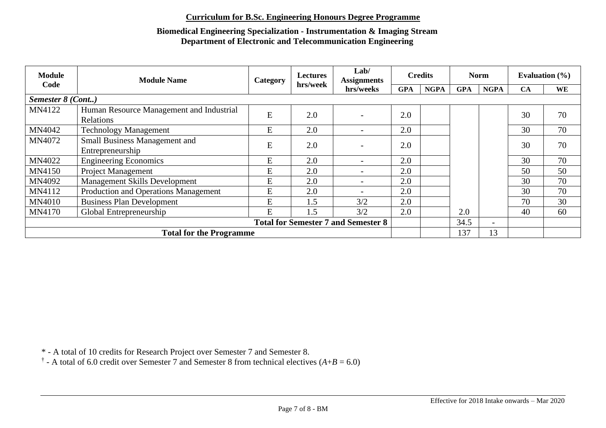### **Biomedical Engineering Specialization - Instrumentation & Imaging Stream Department of Electronic and Telecommunication Engineering**

| <b>Module</b>     | <b>Module Name</b>                          | Category  | <b>Lectures</b> | Lab/<br><b>Assignments</b> |            | <b>Credits</b> |            | <b>Norm</b>              | Evaluation $(\% )$ |    |
|-------------------|---------------------------------------------|-----------|-----------------|----------------------------|------------|----------------|------------|--------------------------|--------------------|----|
| Code              |                                             |           | hrs/week        | hrs/weeks                  | <b>GPA</b> | <b>NGPA</b>    | <b>GPA</b> | <b>NGPA</b>              | <b>CA</b>          | WE |
| Semester 8 (Cont) |                                             |           |                 |                            |            |                |            |                          |                    |    |
| MN4122            | Human Resource Management and Industrial    | E         | 2.0             |                            | 2.0        |                |            |                          | 30                 | 70 |
|                   | Relations                                   |           |                 |                            |            |                |            |                          |                    |    |
| MN4042            | <b>Technology Management</b>                | E         | 2.0             |                            | 2.0        |                |            |                          | 30                 | 70 |
| MN4072            | Small Business Management and               | ${\bf E}$ | 2.0             |                            | 2.0        |                |            |                          | 30                 | 70 |
|                   | Entrepreneurship                            |           |                 |                            |            |                |            |                          |                    |    |
| MN4022            | <b>Engineering Economics</b>                | E         | 2.0             |                            | 2.0        |                |            |                          | 30                 | 70 |
| <b>MN4150</b>     | <b>Project Management</b>                   | E         | 2.0             |                            | 2.0        |                |            |                          | 50                 | 50 |
| MN4092            | <b>Management Skills Development</b>        | E         | 2.0             |                            | 2.0        |                |            |                          | 30                 | 70 |
| MN4112            | <b>Production and Operations Management</b> | E         | 2.0             |                            | 2.0        |                |            |                          | 30                 | 70 |
| <b>MN4010</b>     | <b>Business Plan Development</b>            | E         | 1.5             | 3/2                        | 2.0        |                |            |                          | 70                 | 30 |
| <b>MN4170</b>     | Global Entrepreneurship                     | E         | 1.5             | 3/2                        | 2.0        |                | 2.0        |                          | 40                 | 60 |
|                   | <b>Total for Semester 7 and Semester 8</b>  |           |                 |                            |            |                |            | $\overline{\phantom{0}}$ |                    |    |
|                   | <b>Total for the Programme</b>              |           |                 |                            |            |                | 137        | 13                       |                    |    |

\* - A total of 10 credits for Research Project over Semester 7 and Semester 8.

<sup> $\dagger$ </sup> - A total of 6.0 credit over Semester 7 and Semester 8 from technical electives ( $A+B = 6.0$ )